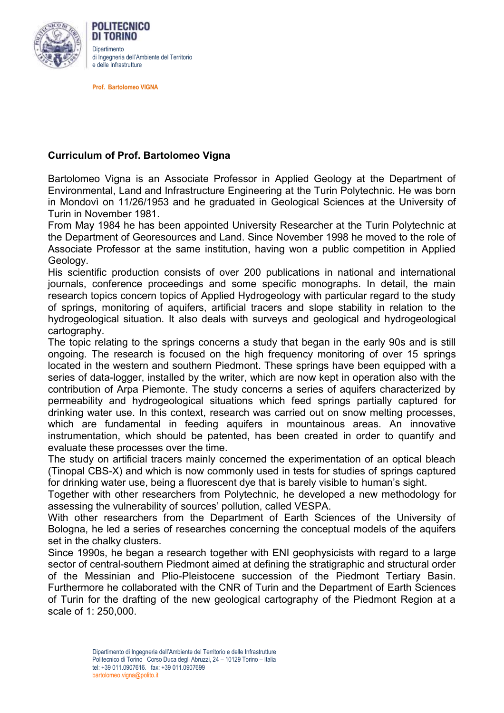

DI TORINO **Dinartimento** di Ingegneria dell'Ambiente del Territorio e delle Infrastrutture

**Prof. Bartolomeo VIGNA**

POLITECNICO

## **Curriculum of Prof. Bartolomeo Vigna**

Bartolomeo Vigna is an Associate Professor in Applied Geology at the Department of Environmental, Land and Infrastructure Engineering at the Turin Polytechnic. He was born in Mondovì on 11/26/1953 and he graduated in Geological Sciences at the University of Turin in November 1981.

From May 1984 he has been appointed University Researcher at the Turin Polytechnic at the Department of Georesources and Land. Since November 1998 he moved to the role of Associate Professor at the same institution, having won a public competition in Applied Geology.

His scientific production consists of over 200 publications in national and international journals, conference proceedings and some specific monographs. In detail, the main research topics concern topics of Applied Hydrogeology with particular regard to the study of springs, monitoring of aquifers, artificial tracers and slope stability in relation to the hydrogeological situation. It also deals with surveys and geological and hydrogeological cartography.

The topic relating to the springs concerns a study that began in the early 90s and is still ongoing. The research is focused on the high frequency monitoring of over 15 springs located in the western and southern Piedmont. These springs have been equipped with a series of data-logger, installed by the writer, which are now kept in operation also with the contribution of Arpa Piemonte. The study concerns a series of aquifers characterized by permeability and hydrogeological situations which feed springs partially captured for drinking water use. In this context, research was carried out on snow melting processes, which are fundamental in feeding aquifers in mountainous areas. An innovative instrumentation, which should be patented, has been created in order to quantify and evaluate these processes over the time.

The study on artificial tracers mainly concerned the experimentation of an optical bleach (Tinopal CBS-X) and which is now commonly used in tests for studies of springs captured for drinking water use, being a fluorescent dye that is barely visible to human's sight.

Together with other researchers from Polytechnic, he developed a new methodology for assessing the vulnerability of sources' pollution, called VESPA.

With other researchers from the Department of Earth Sciences of the University of Bologna, he led a series of researches concerning the conceptual models of the aquifers set in the chalky clusters.

Since 1990s, he began a research together with ENI geophysicists with regard to a large sector of central-southern Piedmont aimed at defining the stratigraphic and structural order of the Messinian and Plio-Pleistocene succession of the Piedmont Tertiary Basin. Furthermore he collaborated with the CNR of Turin and the Department of Earth Sciences of Turin for the drafting of the new geological cartography of the Piedmont Region at a scale of 1: 250,000.